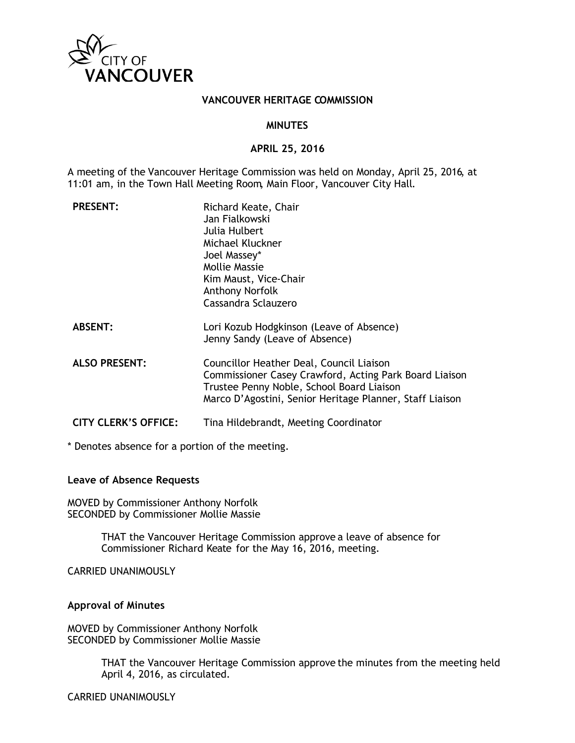

### **VANCOUVER HERITAGE COMMISSION**

#### **MINUTES**

#### **APRIL 25, 2016**

A meeting of the Vancouver Heritage Commission was held on Monday, April 25, 2016, at 11:01 am, in the Town Hall Meeting Room, Main Floor, Vancouver City Hall.

| <b>PRESENT:</b>             | Richard Keate, Chair<br>Jan Fialkowski<br>Julia Hulbert<br>Michael Kluckner<br>Joel Massey*<br><b>Mollie Massie</b><br>Kim Maust, Vice-Chair<br>Anthony Norfolk<br>Cassandra Sclauzero                      |
|-----------------------------|-------------------------------------------------------------------------------------------------------------------------------------------------------------------------------------------------------------|
| <b>ABSENT:</b>              | Lori Kozub Hodgkinson (Leave of Absence)<br>Jenny Sandy (Leave of Absence)                                                                                                                                  |
| <b>ALSO PRESENT:</b>        | Councillor Heather Deal, Council Liaison<br>Commissioner Casey Crawford, Acting Park Board Liaison<br>Trustee Penny Noble, School Board Liaison<br>Marco D'Agostini, Senior Heritage Planner, Staff Liaison |
| <b>CITY CLERK'S OFFICE:</b> | Tina Hildebrandt, Meeting Coordinator                                                                                                                                                                       |

\* Denotes absence for a portion of the meeting.

### **Leave of Absence Requests**

MOVED by Commissioner Anthony Norfolk SECONDED by Commissioner Mollie Massie

> THAT the Vancouver Heritage Commission approve a leave of absence for Commissioner Richard Keate for the May 16, 2016, meeting.

CARRIED UNANIMOUSLY

### **Approval of Minutes**

MOVED by Commissioner Anthony Norfolk SECONDED by Commissioner Mollie Massie

> THAT the Vancouver Heritage Commission approve the minutes from the meeting held April 4, 2016, as circulated.

CARRIED UNANIMOUSLY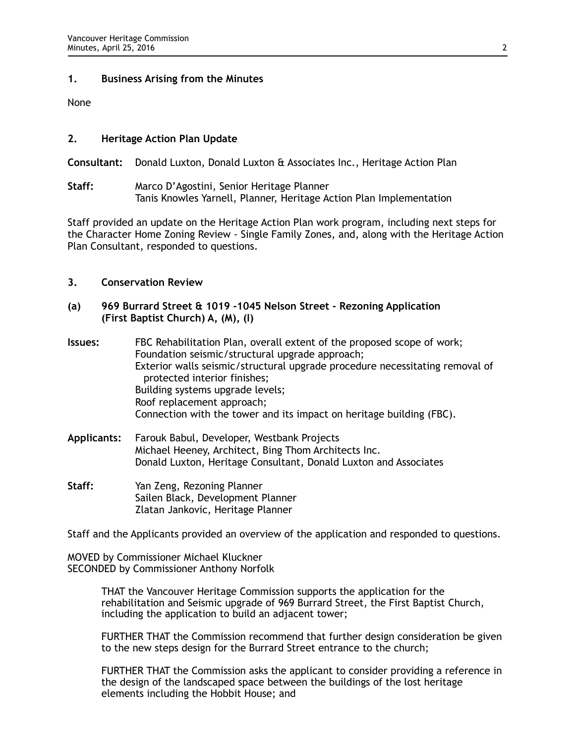## **1. Business Arising from the Minutes**

None

# **2. Heritage Action Plan Update**

**Consultant:** Donald Luxton, Donald Luxton & Associates Inc., Heritage Action Plan

**Staff:** Marco D'Agostini, Senior Heritage Planner Tanis Knowles Yarnell, Planner, Heritage Action Plan Implementation

Staff provided an update on the Heritage Action Plan work program, including next steps for the Character Home Zoning Review - Single Family Zones, and, along with the Heritage Action Plan Consultant, responded to questions.

## **3. Conservation Review**

- **(a) 969 Burrard Street & 1019 -1045 Nelson Street Rezoning Application (First Baptist Church) A, (M), (I)**
- **Issues:** FBC Rehabilitation Plan, overall extent of the proposed scope of work; Foundation seismic/structural upgrade approach; Exterior walls seismic/structural upgrade procedure necessitating removal of protected interior finishes; Building systems upgrade levels; Roof replacement approach; Connection with the tower and its impact on heritage building (FBC).
- **Applicants:** Farouk Babul, Developer, Westbank Projects Michael Heeney, Architect, Bing Thom Architects Inc. Donald Luxton, Heritage Consultant, Donald Luxton and Associates
- **Staff:** Yan Zeng, Rezoning Planner Sailen Black, Development Planner Zlatan Jankovic, Heritage Planner

Staff and the Applicants provided an overview of the application and responded to questions.

MOVED by Commissioner Michael Kluckner SECONDED by Commissioner Anthony Norfolk

> THAT the Vancouver Heritage Commission supports the application for the rehabilitation and Seismic upgrade of 969 Burrard Street, the First Baptist Church, including the application to build an adjacent tower;

FURTHER THAT the Commission recommend that further design consideration be given to the new steps design for the Burrard Street entrance to the church;

FURTHER THAT the Commission asks the applicant to consider providing a reference in the design of the landscaped space between the buildings of the lost heritage elements including the Hobbit House; and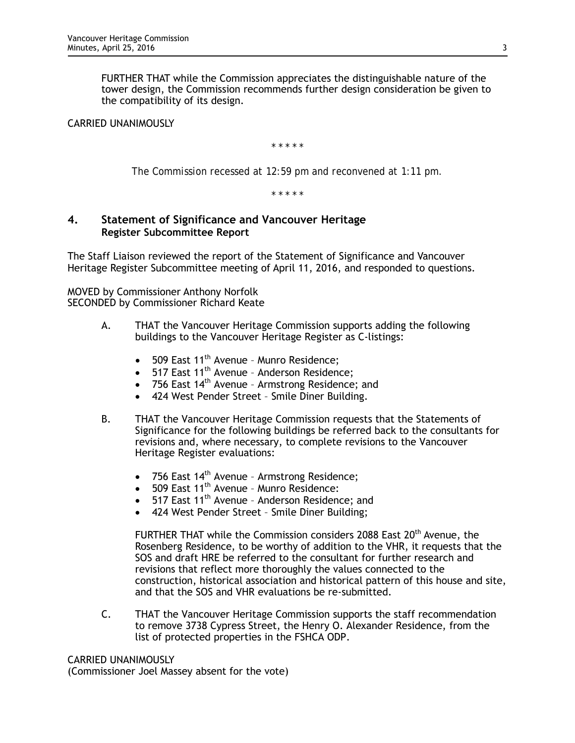FURTHER THAT while the Commission appreciates the distinguishable nature of the tower design, the Commission recommends further design consideration be given to the compatibility of its design.

# CARRIED UNANIMOUSLY

*\* \* \* \* \**

*The Commission recessed at 12:59 pm and reconvened at 1:11 pm.*

*\* \* \* \* \**

# **4. Statement of Significance and Vancouver Heritage Register Subcommittee Report**

The Staff Liaison reviewed the report of the Statement of Significance and Vancouver Heritage Register Subcommittee meeting of April 11, 2016, and responded to questions.

MOVED by Commissioner Anthony Norfolk SECONDED by Commissioner Richard Keate

- A. THAT the Vancouver Heritage Commission supports adding the following buildings to the Vancouver Heritage Register as C-listings:
	- 509 East 11<sup>th</sup> Avenue Munro Residence;<br>• 517 East 11<sup>th</sup> Avenue Anderson Residence
	- 517 East 11<sup>th</sup> Avenue Anderson Residence;
	- 756 East  $14<sup>th</sup>$  Avenue Armstrong Residence; and
	- 424 West Pender Street Smile Diner Building.
- B. THAT the Vancouver Heritage Commission requests that the Statements of Significance for the following buildings be referred back to the consultants for revisions and, where necessary, to complete revisions to the Vancouver Heritage Register evaluations:
	- 756 East  $14<sup>th</sup>$  Avenue Armstrong Residence;
	- 509 East 11<sup>th</sup> Avenue Munro Residence:<br>• 517 East 11<sup>th</sup> Avenue Anderson Residence
	- 517 East 11<sup>th</sup> Avenue Anderson Residence; and
	- 424 West Pender Street Smile Diner Building;

FURTHER THAT while the Commission considers 2088 East 20<sup>th</sup> Avenue, the Rosenberg Residence, to be worthy of addition to the VHR, it requests that the SOS and draft HRE be referred to the consultant for further research and revisions that reflect more thoroughly the values connected to the construction, historical association and historical pattern of this house and site, and that the SOS and VHR evaluations be re-submitted.

C. THAT the Vancouver Heritage Commission supports the staff recommendation to remove 3738 Cypress Street, the Henry O. Alexander Residence, from the list of protected properties in the FSHCA ODP.

CARRIED UNANIMOUSLY

(Commissioner Joel Massey absent for the vote)